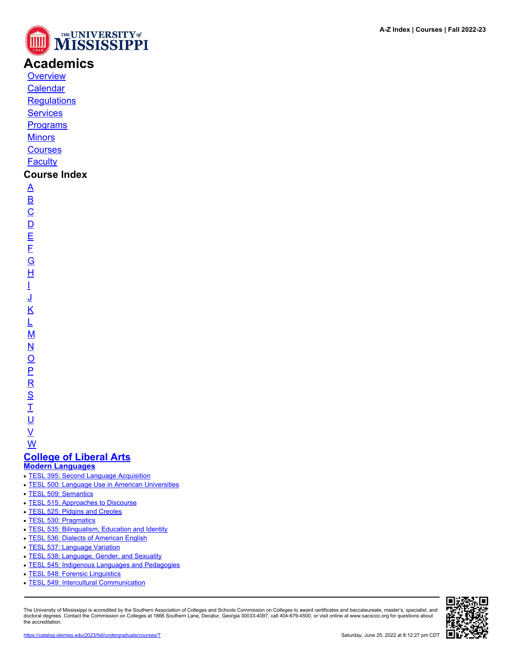

# **Academics**

**[Overview](https://catalog.olemiss.edu/academics)** [Calendar](https://catalog.olemiss.edu/academics/calendar)

**[Regulations](https://catalog.olemiss.edu/academics/regulations)** 

**[Services](https://catalog.olemiss.edu/academics/services)** 

**[Programs](https://catalog.olemiss.edu/programs)** 

**[Minors](https://catalog.olemiss.edu/minors)** 

**[Courses](https://catalog.olemiss.edu/courses)** 

**[Faculty](https://catalog.olemiss.edu/faculty)** 

# **Course Index**

[A](https://catalog.olemiss.edu/courses/A) [B](https://catalog.olemiss.edu/courses/B)  $\overline{C}$  $\overline{C}$  $\overline{C}$  $\overline{D}$  $\overline{D}$  $\overline{D}$ [E](https://catalog.olemiss.edu/courses/E) [F](https://catalog.olemiss.edu/courses/F) [G](https://catalog.olemiss.edu/courses/G) [H](https://catalog.olemiss.edu/courses/H) [I](https://catalog.olemiss.edu/courses/I) [J](https://catalog.olemiss.edu/courses/J) [K](https://catalog.olemiss.edu/courses/K) [L](https://catalog.olemiss.edu/courses/L) [M](https://catalog.olemiss.edu/courses/M) [N](https://catalog.olemiss.edu/courses/N)  $\overline{\mathsf{O}}$  $\overline{\mathsf{O}}$  $\overline{\mathsf{O}}$ [P](https://catalog.olemiss.edu/courses/P)  $\overline{\mathsf{R}}$  $\overline{\mathsf{R}}$  $\overline{\mathsf{R}}$ [S](https://catalog.olemiss.edu/courses/S)  $\overline{1}$ <u>ប</u>

 $\underline{\mathsf{V}}$  $\underline{\mathsf{V}}$  $\underline{\mathsf{V}}$ 

[W](https://catalog.olemiss.edu/courses/W) **[College of Liberal Arts](https://catalog.olemiss.edu/liberal-arts)**

- **[Modern Languages](https://catalog.olemiss.edu/liberal-arts/modern-languages)**
- [TESL 395: Second Language Acquisition](https://catalog.olemiss.edu/liberal-arts/modern-languages/tesl-395)
- **[TESL 500: Language Use in American Universities](https://catalog.olemiss.edu/liberal-arts/modern-languages/tesl-500)**
- [TESL 509: Semantics](https://catalog.olemiss.edu/liberal-arts/modern-languages/tesl-509)
- [TESL 515: Approaches to Discourse](https://catalog.olemiss.edu/liberal-arts/modern-languages/tesl-515)
- [TESL 525: Pidgins and Creoles](https://catalog.olemiss.edu/liberal-arts/modern-languages/tesl-525)
- [TESL 530: Pragmatics](https://catalog.olemiss.edu/liberal-arts/modern-languages/tesl-530)
- [TESL 535: Bilingualism, Education and Identity](https://catalog.olemiss.edu/liberal-arts/modern-languages/tesl-535)
- [TESL 536: Dialects of American English](https://catalog.olemiss.edu/liberal-arts/modern-languages/tesl-536)
- [TESL 537: Language Variation](https://catalog.olemiss.edu/liberal-arts/modern-languages/tesl-537)
- [TESL 538: Language, Gender, and Sexuality](https://catalog.olemiss.edu/liberal-arts/modern-languages/tesl-538)
- [TESL 545: Indigenous Languages and Pedagogies](https://catalog.olemiss.edu/liberal-arts/modern-languages/tesl-545)
- [TESL 548: Forensic Linguistics](https://catalog.olemiss.edu/liberal-arts/modern-languages/tesl-548)
- [TESL 549: Intercultural Communication](https://catalog.olemiss.edu/liberal-arts/modern-languages/tesl-549)

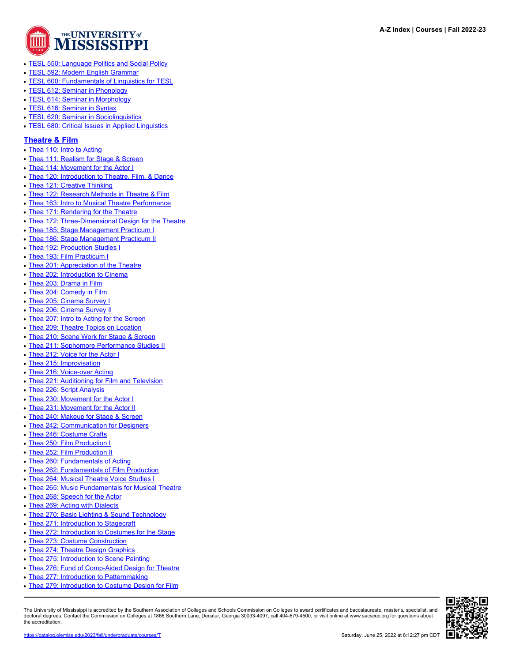

- [TESL 550: Language Politics and Social Policy](https://catalog.olemiss.edu/liberal-arts/modern-languages/tesl-550)
- [TESL 592: Modern English Grammar](https://catalog.olemiss.edu/liberal-arts/modern-languages/tesl-592)
- [TESL 600: Fundamentals of Linguistics for TESL](https://catalog.olemiss.edu/liberal-arts/modern-languages/tesl-600)
- [TESL 612: Seminar in Phonology](https://catalog.olemiss.edu/liberal-arts/modern-languages/tesl-612)
- [TESL 614: Seminar in Morphology](https://catalog.olemiss.edu/liberal-arts/modern-languages/tesl-614)
- [TESL 616: Seminar in Syntax](https://catalog.olemiss.edu/liberal-arts/modern-languages/tesl-616)
- [TESL 620: Seminar in Sociolinguistics](https://catalog.olemiss.edu/liberal-arts/modern-languages/tesl-620)
- [TESL 680: Critical Issues in Applied Linguistics](https://catalog.olemiss.edu/liberal-arts/modern-languages/tesl-680)

#### **[Theatre & Film](https://catalog.olemiss.edu/liberal-arts/theatre-film)**

- [Thea 110: Intro to Acting](https://catalog.olemiss.edu/liberal-arts/theatre-film/thea-110)
- [Thea 111: Realism for Stage & Screen](https://catalog.olemiss.edu/liberal-arts/theatre-film/thea-111)
- [Thea 114: Movement for the Actor I](https://catalog.olemiss.edu/liberal-arts/theatre-film/thea-114)
- [Thea 120: Introduction to Theatre, Film, & Dance](https://catalog.olemiss.edu/liberal-arts/theatre-film/thea-120)
- [Thea 121: Creative Thinking](https://catalog.olemiss.edu/liberal-arts/theatre-film/thea-121)
- [Thea 122: Research Methods in Theatre & Film](https://catalog.olemiss.edu/liberal-arts/theatre-film/thea-122)
- [Thea 163: Intro to Musical Theatre Performance](https://catalog.olemiss.edu/liberal-arts/theatre-film/thea-163)
- [Thea 171: Rendering for the Theatre](https://catalog.olemiss.edu/liberal-arts/theatre-film/thea-171)
- [Thea 172: Three-Dimensional Design for the Theatre](https://catalog.olemiss.edu/liberal-arts/theatre-film/thea-172)
- [Thea 185: Stage Management Practicum I](https://catalog.olemiss.edu/liberal-arts/theatre-film/thea-185)
- [Thea 186: Stage Management Practicum II](https://catalog.olemiss.edu/liberal-arts/theatre-film/thea-186)
- [Thea 192: Production Studies I](https://catalog.olemiss.edu/liberal-arts/theatre-film/thea-192)
- [Thea 193: Film Practicum I](https://catalog.olemiss.edu/liberal-arts/theatre-film/thea-193)
- [Thea 201: Appreciation of the Theatre](https://catalog.olemiss.edu/liberal-arts/theatre-film/thea-201)
- [Thea 202: Introduction to Cinema](https://catalog.olemiss.edu/liberal-arts/theatre-film/thea-202)
- [Thea 203: Drama in Film](https://catalog.olemiss.edu/liberal-arts/theatre-film/thea-203)
- [Thea 204: Comedy in Film](https://catalog.olemiss.edu/liberal-arts/theatre-film/thea-204)
- [Thea 205: Cinema Survey I](https://catalog.olemiss.edu/liberal-arts/theatre-film/thea-205)
- [Thea 206: Cinema Survey II](https://catalog.olemiss.edu/liberal-arts/theatre-film/thea-206)
- [Thea 207: Intro to Acting for the Screen](https://catalog.olemiss.edu/liberal-arts/theatre-film/thea-207)
- [Thea 209: Theatre Topics on Location](https://catalog.olemiss.edu/liberal-arts/theatre-film/thea-209)
- [Thea 210: Scene Work for Stage & Screen](https://catalog.olemiss.edu/liberal-arts/theatre-film/thea-210)
- [Thea 211: Sophomore Performance Studies II](https://catalog.olemiss.edu/liberal-arts/theatre-film/thea-211)
- [Thea 212: Voice for the Actor I](https://catalog.olemiss.edu/liberal-arts/theatre-film/thea-212)
- [Thea 215: Improvisation](https://catalog.olemiss.edu/liberal-arts/theatre-film/thea-215)
- [Thea 216: Voice-over Acting](https://catalog.olemiss.edu/liberal-arts/theatre-film/thea-216)
- [Thea 221: Auditioning for Film and Television](https://catalog.olemiss.edu/liberal-arts/theatre-film/thea-221)
- [Thea 226: Script Analysis](https://catalog.olemiss.edu/liberal-arts/theatre-film/thea-226)
- [Thea 230: Movement for the Actor I](https://catalog.olemiss.edu/liberal-arts/theatre-film/thea-230)
- [Thea 231: Movement for the Actor II](https://catalog.olemiss.edu/liberal-arts/theatre-film/thea-231)
- [Thea 240: Makeup for Stage & Screen](https://catalog.olemiss.edu/liberal-arts/theatre-film/thea-240)
- [Thea 242: Communication for Designers](https://catalog.olemiss.edu/liberal-arts/theatre-film/thea-242)
- [Thea 246: Costume Crafts](https://catalog.olemiss.edu/liberal-arts/theatre-film/thea-246)
- [Thea 250: Film Production I](https://catalog.olemiss.edu/liberal-arts/theatre-film/thea-250)
- [Thea 252: Film Production II](https://catalog.olemiss.edu/liberal-arts/theatre-film/thea-252)
- [Thea 260: Fundamentals of Acting](https://catalog.olemiss.edu/liberal-arts/theatre-film/thea-260)
- [Thea 262: Fundamentals of Film Production](https://catalog.olemiss.edu/liberal-arts/theatre-film/thea-262)
- [Thea 264: Musical Theatre Voice Studies I](https://catalog.olemiss.edu/liberal-arts/theatre-film/thea-264)
- [Thea 265: Music Fundamentals for Musical Theatre](https://catalog.olemiss.edu/liberal-arts/theatre-film/thea-265)
- [Thea 268: Speech for the Actor](https://catalog.olemiss.edu/liberal-arts/theatre-film/thea-268)
- [Thea 269: Acting with Dialects](https://catalog.olemiss.edu/liberal-arts/theatre-film/thea-269)
- [Thea 270: Basic Lighting & Sound Technology](https://catalog.olemiss.edu/liberal-arts/theatre-film/thea-270)
- [Thea 271: Introduction to Stagecraft](https://catalog.olemiss.edu/liberal-arts/theatre-film/thea-271)
- [Thea 272: Introduction to Costumes for the Stage](https://catalog.olemiss.edu/liberal-arts/theatre-film/thea-272)
- [Thea 273: Costume Construction](https://catalog.olemiss.edu/liberal-arts/theatre-film/thea-273)
- [Thea 274: Theatre Design Graphics](https://catalog.olemiss.edu/liberal-arts/theatre-film/thea-274)
- [Thea 275: Introduction to Scene Painting](https://catalog.olemiss.edu/liberal-arts/theatre-film/thea-275)
- [Thea 276: Fund of Comp-Aided Design for Theatre](https://catalog.olemiss.edu/liberal-arts/theatre-film/thea-276)
- [Thea 277: Introduction to Patternmaking](https://catalog.olemiss.edu/liberal-arts/theatre-film/thea-277)
- [Thea 279: Introduction to Costume Design for Film](https://catalog.olemiss.edu/liberal-arts/theatre-film/thea-279)

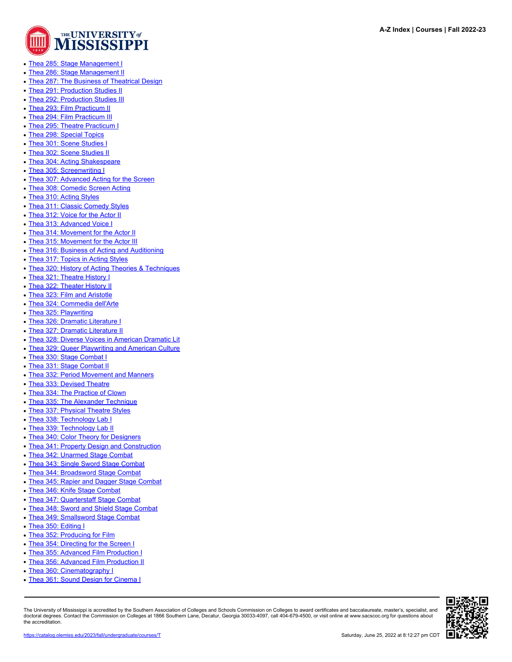

- [Thea 285: Stage Management I](https://catalog.olemiss.edu/liberal-arts/theatre-film/thea-285)
- [Thea 286: Stage Management II](https://catalog.olemiss.edu/liberal-arts/theatre-film/thea-286)
- [Thea 287: The Business of Theatrical Design](https://catalog.olemiss.edu/liberal-arts/theatre-film/thea-287)
- [Thea 291: Production Studies II](https://catalog.olemiss.edu/liberal-arts/theatre-film/thea-291)
- [Thea 292: Production Studies III](https://catalog.olemiss.edu/liberal-arts/theatre-film/thea-292)
- [Thea 293: Film Practicum II](https://catalog.olemiss.edu/liberal-arts/theatre-film/thea-293)
- [Thea 294: Film Practicum III](https://catalog.olemiss.edu/liberal-arts/theatre-film/thea-294)
- [Thea 295: Theatre Practicum I](https://catalog.olemiss.edu/liberal-arts/theatre-film/thea-295)
- [Thea 298: Special Topics](https://catalog.olemiss.edu/liberal-arts/theatre-film/thea-298)
- [Thea 301: Scene Studies I](https://catalog.olemiss.edu/liberal-arts/theatre-film/thea-301)
- [Thea 302: Scene Studies II](https://catalog.olemiss.edu/liberal-arts/theatre-film/thea-302)
- [Thea 304: Acting Shakespeare](https://catalog.olemiss.edu/liberal-arts/theatre-film/thea-304)
- [Thea 305: Screenwriting I](https://catalog.olemiss.edu/liberal-arts/theatre-film/thea-305)
- [Thea 307: Advanced Acting for the Screen](https://catalog.olemiss.edu/liberal-arts/theatre-film/thea-307)
- [Thea 308: Comedic Screen Acting](https://catalog.olemiss.edu/liberal-arts/theatre-film/thea-308)
- [Thea 310: Acting Styles](https://catalog.olemiss.edu/liberal-arts/theatre-film/thea-310)
- [Thea 311: Classic Comedy Styles](https://catalog.olemiss.edu/liberal-arts/theatre-film/thea-311)
- [Thea 312: Voice for the Actor II](https://catalog.olemiss.edu/liberal-arts/theatre-film/thea-312)
- [Thea 313: Advanced Voice I](https://catalog.olemiss.edu/liberal-arts/theatre-film/thea-313)
- [Thea 314: Movement for the Actor II](https://catalog.olemiss.edu/liberal-arts/theatre-film/thea-314)
- [Thea 315: Movement for the Actor III](https://catalog.olemiss.edu/liberal-arts/theatre-film/thea-315)
- [Thea 316: Business of Acting and Auditioning](https://catalog.olemiss.edu/liberal-arts/theatre-film/thea-316)
- [Thea 317: Topics in Acting Styles](https://catalog.olemiss.edu/liberal-arts/theatre-film/thea-317)
- [Thea 320: History of Acting Theories & Techniques](https://catalog.olemiss.edu/liberal-arts/theatre-film/thea-320)
- [Thea 321: Theatre History I](https://catalog.olemiss.edu/liberal-arts/theatre-film/thea-321)
- [Thea 322: Theater History II](https://catalog.olemiss.edu/liberal-arts/theatre-film/thea-322)
- [Thea 323: Film and Aristotle](https://catalog.olemiss.edu/liberal-arts/theatre-film/thea-323)
- [Thea 324: Commedia dell'Arte](https://catalog.olemiss.edu/liberal-arts/theatre-film/thea-324)
- [Thea 325: Playwriting](https://catalog.olemiss.edu/liberal-arts/theatre-film/thea-325)
- [Thea 326: Dramatic Literature I](https://catalog.olemiss.edu/liberal-arts/theatre-film/thea-326)
- [Thea 327: Dramatic Literature II](https://catalog.olemiss.edu/liberal-arts/theatre-film/thea-327)
- [Thea 328: Diverse Voices in American Dramatic Lit](https://catalog.olemiss.edu/liberal-arts/theatre-film/thea-328)
- [Thea 329: Queer Playwriting and American Culture](https://catalog.olemiss.edu/liberal-arts/theatre-film/thea-329)
- [Thea 330: Stage Combat I](https://catalog.olemiss.edu/liberal-arts/theatre-film/thea-330)
- [Thea 331: Stage Combat II](https://catalog.olemiss.edu/liberal-arts/theatre-film/thea-331)
- [Thea 332: Period Movement and Manners](https://catalog.olemiss.edu/liberal-arts/theatre-film/thea-332)
- [Thea 333: Devised Theatre](https://catalog.olemiss.edu/liberal-arts/theatre-film/thea-333)
- [Thea 334: The Practice of Clown](https://catalog.olemiss.edu/liberal-arts/theatre-film/thea-334)
- [Thea 335: The Alexander Technique](https://catalog.olemiss.edu/liberal-arts/theatre-film/thea-335)
- [Thea 337: Physical Theatre Styles](https://catalog.olemiss.edu/liberal-arts/theatre-film/thea-337)
- [Thea 338: Technology Lab I](https://catalog.olemiss.edu/liberal-arts/theatre-film/thea-338)
- [Thea 339: Technology Lab II](https://catalog.olemiss.edu/liberal-arts/theatre-film/thea-339)
- [Thea 340: Color Theory for Designers](https://catalog.olemiss.edu/liberal-arts/theatre-film/thea-340)
- [Thea 341: Property Design and Construction](https://catalog.olemiss.edu/liberal-arts/theatre-film/thea-341)
- [Thea 342: Unarmed Stage Combat](https://catalog.olemiss.edu/liberal-arts/theatre-film/thea-342)
- [Thea 343: Single Sword Stage Combat](https://catalog.olemiss.edu/liberal-arts/theatre-film/thea-343)
- [Thea 344: Broadsword Stage Combat](https://catalog.olemiss.edu/liberal-arts/theatre-film/thea-344)
- [Thea 345: Rapier and Dagger Stage Combat](https://catalog.olemiss.edu/liberal-arts/theatre-film/thea-345)
- [Thea 346: Knife Stage Combat](https://catalog.olemiss.edu/liberal-arts/theatre-film/thea-346)
- [Thea 347: Quarterstaff Stage Combat](https://catalog.olemiss.edu/liberal-arts/theatre-film/thea-347)
- [Thea 348: Sword and Shield Stage Combat](https://catalog.olemiss.edu/liberal-arts/theatre-film/thea-348)
- [Thea 349: Smallsword Stage Combat](https://catalog.olemiss.edu/liberal-arts/theatre-film/thea-349)
- [Thea 350: Editing I](https://catalog.olemiss.edu/liberal-arts/theatre-film/thea-350)
- [Thea 352: Producing for Film](https://catalog.olemiss.edu/liberal-arts/theatre-film/thea-352)
- [Thea 354: Directing for the Screen I](https://catalog.olemiss.edu/liberal-arts/theatre-film/thea-354)
- [Thea 355: Advanced Film Production I](https://catalog.olemiss.edu/liberal-arts/theatre-film/thea-355)
- [Thea 356: Advanced Film Production II](https://catalog.olemiss.edu/liberal-arts/theatre-film/thea-356)
- [Thea 360: Cinematography I](https://catalog.olemiss.edu/liberal-arts/theatre-film/thea-360)
- [Thea 361: Sound Design for Cinema I](https://catalog.olemiss.edu/liberal-arts/theatre-film/thea-361)

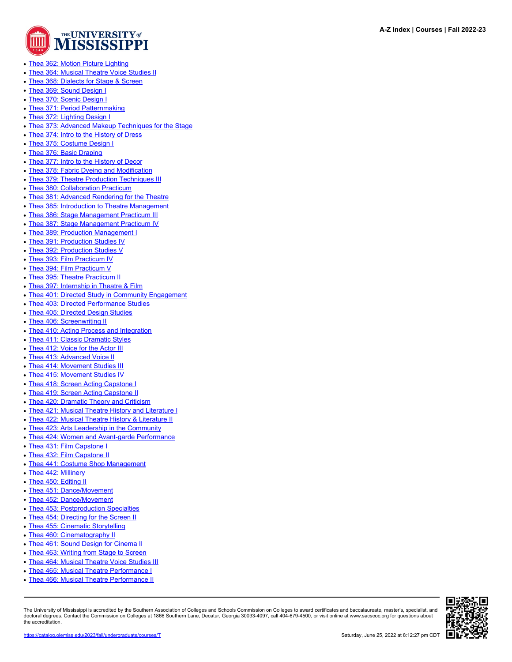

- [Thea 362: Motion Picture Lighting](https://catalog.olemiss.edu/liberal-arts/theatre-film/thea-362)
- [Thea 364: Musical Theatre Voice Studies II](https://catalog.olemiss.edu/liberal-arts/theatre-film/thea-364)
- [Thea 368: Dialects for Stage & Screen](https://catalog.olemiss.edu/liberal-arts/theatre-film/thea-368)
- [Thea 369: Sound Design I](https://catalog.olemiss.edu/liberal-arts/theatre-film/thea-369)
- [Thea 370: Scenic Design I](https://catalog.olemiss.edu/liberal-arts/theatre-film/thea-370)
- [Thea 371: Period Patternmaking](https://catalog.olemiss.edu/liberal-arts/theatre-film/thea-371)
- [Thea 372: Lighting Design I](https://catalog.olemiss.edu/liberal-arts/theatre-film/thea-372)
- [Thea 373: Advanced Makeup Techniques for the Stage](https://catalog.olemiss.edu/liberal-arts/theatre-film/thea-373)
- [Thea 374: Intro to the History of Dress](https://catalog.olemiss.edu/liberal-arts/theatre-film/thea-374)
- [Thea 375: Costume Design I](https://catalog.olemiss.edu/liberal-arts/theatre-film/thea-375)
- [Thea 376: Basic Draping](https://catalog.olemiss.edu/liberal-arts/theatre-film/thea-376)
- [Thea 377: Intro to the History of Decor](https://catalog.olemiss.edu/liberal-arts/theatre-film/thea-377)
- [Thea 378: Fabric Dyeing and Modification](https://catalog.olemiss.edu/liberal-arts/theatre-film/thea-378)
- [Thea 379: Theatre Production Techniques III](https://catalog.olemiss.edu/liberal-arts/theatre-film/thea-379)
- [Thea 380: Collaboration Practicum](https://catalog.olemiss.edu/liberal-arts/theatre-film/thea-380)
- [Thea 381: Advanced Rendering for the Theatre](https://catalog.olemiss.edu/liberal-arts/theatre-film/thea-381)
- [Thea 385: Introduction to Theatre Management](https://catalog.olemiss.edu/liberal-arts/theatre-film/thea-385)
- [Thea 386: Stage Management Practicum III](https://catalog.olemiss.edu/liberal-arts/theatre-film/thea-386)
- [Thea 387: Stage Management Practicum IV](https://catalog.olemiss.edu/liberal-arts/theatre-film/thea-387)
- [Thea 389: Production Management I](https://catalog.olemiss.edu/liberal-arts/theatre-film/thea-389)
- [Thea 391: Production Studies IV](https://catalog.olemiss.edu/liberal-arts/theatre-film/thea-391)
- [Thea 392: Production Studies V](https://catalog.olemiss.edu/liberal-arts/theatre-film/thea-392)
- [Thea 393: Film Practicum IV](https://catalog.olemiss.edu/liberal-arts/theatre-film/thea-393)
- [Thea 394: Film Practicum V](https://catalog.olemiss.edu/liberal-arts/theatre-film/thea-394)
- [Thea 395: Theatre Practicum II](https://catalog.olemiss.edu/liberal-arts/theatre-film/thea-395)
- [Thea 397: Internship in Theatre & Film](https://catalog.olemiss.edu/liberal-arts/theatre-film/thea-397)
- [Thea 401: Directed Study in Community Engagement](https://catalog.olemiss.edu/liberal-arts/theatre-film/thea-401)
- [Thea 403: Directed Performance Studies](https://catalog.olemiss.edu/liberal-arts/theatre-film/thea-403)
- [Thea 405: Directed Design Studies](https://catalog.olemiss.edu/liberal-arts/theatre-film/thea-405)
- [Thea 406: Screenwriting II](https://catalog.olemiss.edu/liberal-arts/theatre-film/thea-406)
- [Thea 410: Acting Process and Integration](https://catalog.olemiss.edu/liberal-arts/theatre-film/thea-410)
- [Thea 411: Classic Dramatic Styles](https://catalog.olemiss.edu/liberal-arts/theatre-film/thea-411)
- [Thea 412: Voice for the Actor III](https://catalog.olemiss.edu/liberal-arts/theatre-film/thea-412)
- [Thea 413: Advanced Voice II](https://catalog.olemiss.edu/liberal-arts/theatre-film/thea-413)
- [Thea 414: Movement Studies III](https://catalog.olemiss.edu/liberal-arts/theatre-film/thea-414)
- [Thea 415: Movement Studies IV](https://catalog.olemiss.edu/liberal-arts/theatre-film/thea-415)
- [Thea 418: Screen Acting Capstone I](https://catalog.olemiss.edu/liberal-arts/theatre-film/thea-418)
- [Thea 419: Screen Acting Capstone II](https://catalog.olemiss.edu/liberal-arts/theatre-film/thea-419)
- [Thea 420: Dramatic Theory and Criticism](https://catalog.olemiss.edu/liberal-arts/theatre-film/thea-420)
- [Thea 421: Musical Theatre History and Literature I](https://catalog.olemiss.edu/liberal-arts/theatre-film/thea-421)
- [Thea 422: Musical Theatre History & Literature II](https://catalog.olemiss.edu/liberal-arts/theatre-film/thea-422)
- [Thea 423: Arts Leadership in the Community](https://catalog.olemiss.edu/liberal-arts/theatre-film/thea-423)
- [Thea 424: Women and Avant-garde Performance](https://catalog.olemiss.edu/liberal-arts/theatre-film/thea-424)
- [Thea 431: Film Capstone I](https://catalog.olemiss.edu/liberal-arts/theatre-film/thea-431)
- [Thea 432: Film Capstone II](https://catalog.olemiss.edu/liberal-arts/theatre-film/thea-432)
- [Thea 441: Costume Shop Management](https://catalog.olemiss.edu/liberal-arts/theatre-film/thea-441)
- [Thea 442: Millinery](https://catalog.olemiss.edu/liberal-arts/theatre-film/thea-442)
- [Thea 450: Editing II](https://catalog.olemiss.edu/liberal-arts/theatre-film/thea-450)
- [Thea 451: Dance/Movement](https://catalog.olemiss.edu/liberal-arts/theatre-film/thea-451)
- [Thea 452: Dance/Movement](https://catalog.olemiss.edu/liberal-arts/theatre-film/thea-452)
- [Thea 453: Postproduction Specialties](https://catalog.olemiss.edu/liberal-arts/theatre-film/thea-453)
- [Thea 454: Directing for the Screen II](https://catalog.olemiss.edu/liberal-arts/theatre-film/thea-454)
- [Thea 455: Cinematic Storytelling](https://catalog.olemiss.edu/liberal-arts/theatre-film/thea-455)
- [Thea 460: Cinematography II](https://catalog.olemiss.edu/liberal-arts/theatre-film/thea-460)
- [Thea 461: Sound Design for Cinema II](https://catalog.olemiss.edu/liberal-arts/theatre-film/thea-461)
- [Thea 463: Writing from Stage to Screen](https://catalog.olemiss.edu/liberal-arts/theatre-film/thea-463)
- [Thea 464: Musical Theatre Voice Studies III](https://catalog.olemiss.edu/liberal-arts/theatre-film/thea-464)
- [Thea 465: Musical Theatre Performance I](https://catalog.olemiss.edu/liberal-arts/theatre-film/thea-465)
- [Thea 466: Musical Theatre Performance II](https://catalog.olemiss.edu/liberal-arts/theatre-film/thea-466)

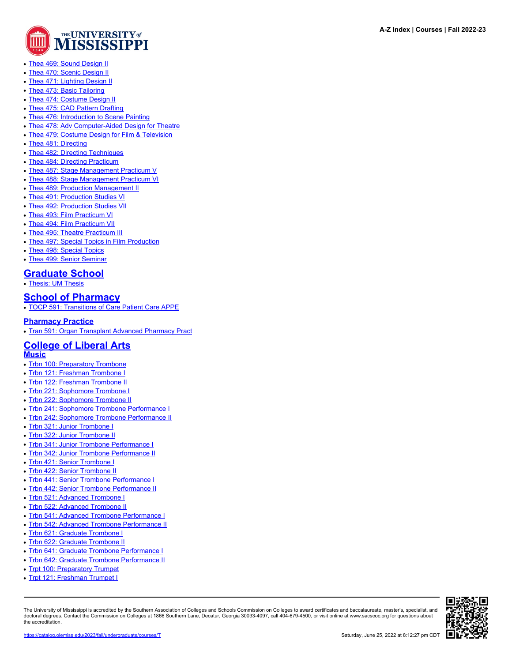

- [Thea 469: Sound Design II](https://catalog.olemiss.edu/liberal-arts/theatre-film/thea-469)
- [Thea 470: Scenic Design II](https://catalog.olemiss.edu/liberal-arts/theatre-film/thea-470)
- [Thea 471: Lighting Design II](https://catalog.olemiss.edu/liberal-arts/theatre-film/thea-471)
- [Thea 473: Basic Tailoring](https://catalog.olemiss.edu/liberal-arts/theatre-film/thea-473)
- [Thea 474: Costume Design II](https://catalog.olemiss.edu/liberal-arts/theatre-film/thea-474)
- [Thea 475: CAD Pattern Drafting](https://catalog.olemiss.edu/liberal-arts/theatre-film/thea-475)
- [Thea 476: Introduction to Scene Painting](https://catalog.olemiss.edu/liberal-arts/theatre-film/thea-476)
- [Thea 478: Adv Computer-Aided Design for Theatre](https://catalog.olemiss.edu/liberal-arts/theatre-film/thea-478)
- [Thea 479: Costume Design for Film & Television](https://catalog.olemiss.edu/liberal-arts/theatre-film/thea-479)
- [Thea 481: Directing](https://catalog.olemiss.edu/liberal-arts/theatre-film/thea-481)
- [Thea 482: Directing Techniques](https://catalog.olemiss.edu/liberal-arts/theatre-film/thea-482)
- [Thea 484: Directing Practicum](https://catalog.olemiss.edu/liberal-arts/theatre-film/thea-484)
- [Thea 487: Stage Management Practicum V](https://catalog.olemiss.edu/liberal-arts/theatre-film/thea-487)
- [Thea 488: Stage Management Practicum VI](https://catalog.olemiss.edu/liberal-arts/theatre-film/thea-488)
- [Thea 489: Production Management II](https://catalog.olemiss.edu/liberal-arts/theatre-film/thea-489)
- [Thea 491: Production Studies VI](https://catalog.olemiss.edu/liberal-arts/theatre-film/thea-491)
- [Thea 492: Production Studies VII](https://catalog.olemiss.edu/liberal-arts/theatre-film/thea-492)
- [Thea 493: Film Practicum VI](https://catalog.olemiss.edu/liberal-arts/theatre-film/thea-493)
- [Thea 494: Film Practicum VII](https://catalog.olemiss.edu/liberal-arts/theatre-film/thea-494)
- [Thea 495: Theatre Practicum III](https://catalog.olemiss.edu/liberal-arts/theatre-film/thea-495)
- [Thea 497: Special Topics in Film Production](https://catalog.olemiss.edu/liberal-arts/theatre-film/thea-497)
- [Thea 498: Special Topics](https://catalog.olemiss.edu/liberal-arts/theatre-film/thea-498)
- [Thea 499: Senior Seminar](https://catalog.olemiss.edu/liberal-arts/theatre-film/thea-499)

# **[Graduate School](https://catalog.olemiss.edu/graduate-school)**

• [Thesis: UM Thesis](https://catalog.olemiss.edu/graduate-school/thesis)

## **[School of Pharmacy](https://catalog.olemiss.edu/pharmacy)**

• [TOCP 591: Transitions of Care Patient Care APPE](https://catalog.olemiss.edu/pharmacy/tocp-591)

#### **[Pharmacy Practice](https://catalog.olemiss.edu/pharmacy/pharmacy-practice)**

• [Tran 591: Organ Transplant Advanced Pharmacy Pract](https://catalog.olemiss.edu/pharmacy/pharmacy-practice/tran-591)

### **[College of Liberal Arts](https://catalog.olemiss.edu/liberal-arts) [Music](https://catalog.olemiss.edu/liberal-arts/music)**

- [Trbn 100: Preparatory Trombone](https://catalog.olemiss.edu/liberal-arts/music/trbn-100)
- [Trbn 121: Freshman Trombone I](https://catalog.olemiss.edu/liberal-arts/music/trbn-121)
- [Trbn 122: Freshman Trombone II](https://catalog.olemiss.edu/liberal-arts/music/trbn-122)
- [Trbn 221: Sophomore Trombone I](https://catalog.olemiss.edu/liberal-arts/music/trbn-221)
- [Trbn 222: Sophomore Trombone II](https://catalog.olemiss.edu/liberal-arts/music/trbn-222)
- [Trbn 241: Sophomore Trombone Performance I](https://catalog.olemiss.edu/liberal-arts/music/trbn-241)
- [Trbn 242: Sophomore Trombone Performance II](https://catalog.olemiss.edu/liberal-arts/music/trbn-242)
- [Trbn 321: Junior Trombone I](https://catalog.olemiss.edu/liberal-arts/music/trbn-321)
- [Trbn 322: Junior Trombone II](https://catalog.olemiss.edu/liberal-arts/music/trbn-322)
- [Trbn 341: Junior Trombone Performance I](https://catalog.olemiss.edu/liberal-arts/music/trbn-341)
- [Trbn 342: Junior Trombone Performance II](https://catalog.olemiss.edu/liberal-arts/music/trbn-342)
- [Trbn 421: Senior Trombone I](https://catalog.olemiss.edu/liberal-arts/music/trbn-421)
- [Trbn 422: Senior Trombone II](https://catalog.olemiss.edu/liberal-arts/music/trbn-422)
- [Trbn 441: Senior Trombone Performance I](https://catalog.olemiss.edu/liberal-arts/music/trbn-441)
- [Trbn 442: Senior Trombone Performance II](https://catalog.olemiss.edu/liberal-arts/music/trbn-442)
- [Trbn 521: Advanced Trombone I](https://catalog.olemiss.edu/liberal-arts/music/trbn-521)
- [Trbn 522: Advanced Trombone II](https://catalog.olemiss.edu/liberal-arts/music/trbn-522)
- [Trbn 541: Advanced Trombone Performance I](https://catalog.olemiss.edu/liberal-arts/music/trbn-541)
- [Trbn 542: Advanced Trombone Performance II](https://catalog.olemiss.edu/liberal-arts/music/trbn-542)
- [Trbn 621: Graduate Trombone I](https://catalog.olemiss.edu/liberal-arts/music/trbn-621)
- [Trbn 622: Graduate Trombone II](https://catalog.olemiss.edu/liberal-arts/music/trbn-622)
- [Trbn 641: Graduate Trombone Performance I](https://catalog.olemiss.edu/liberal-arts/music/trbn-641)
- [Trbn 642: Graduate Trombone Performance II](https://catalog.olemiss.edu/liberal-arts/music/trbn-642)
- [Trpt 100: Preparatory Trumpet](https://catalog.olemiss.edu/liberal-arts/music/trpt-100)
- [Trpt 121: Freshman Trumpet I](https://catalog.olemiss.edu/liberal-arts/music/trpt-121)